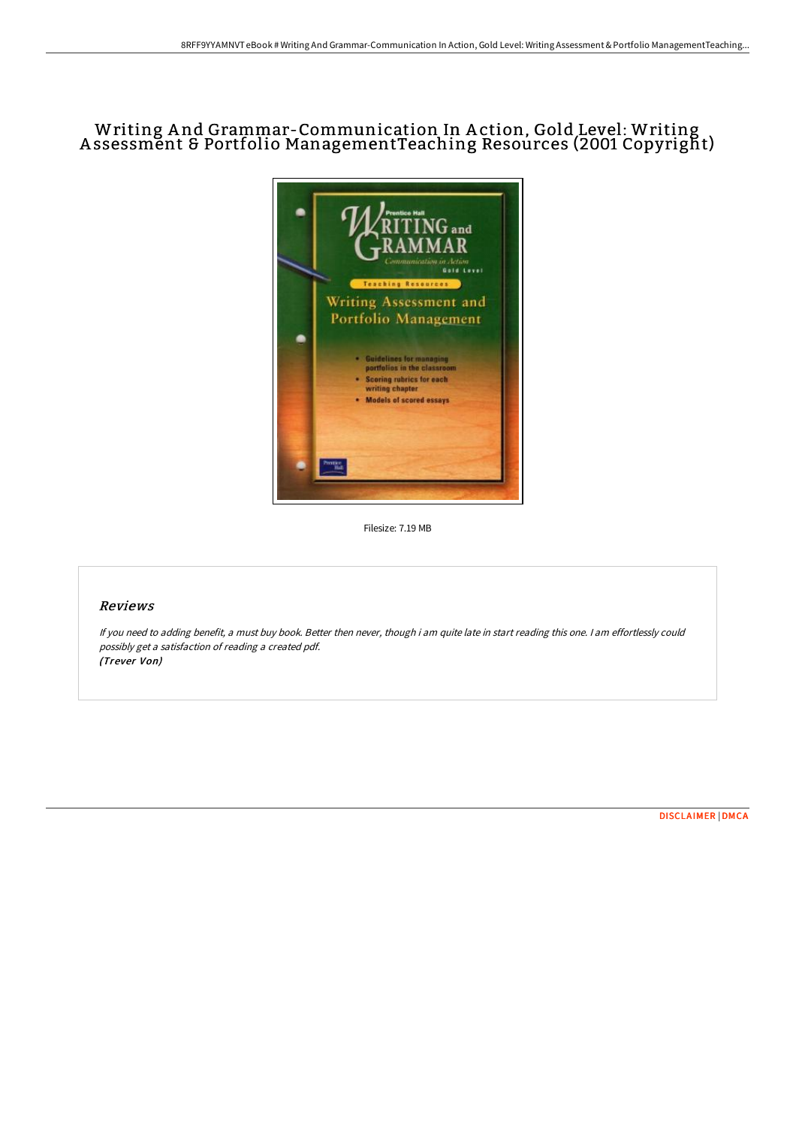# Writing A nd Grammar-Communication In A ction, Gold Level: Writing A ssessment & Portfolio ManagementTeaching Resources (2001 Copyright)



Filesize: 7.19 MB

## Reviews

If you need to adding benefit, <sup>a</sup> must buy book. Better then never, though i am quite late in start reading this one. <sup>I</sup> am effortlessly could possibly get <sup>a</sup> satisfaction of reading <sup>a</sup> created pdf. (Trever Von)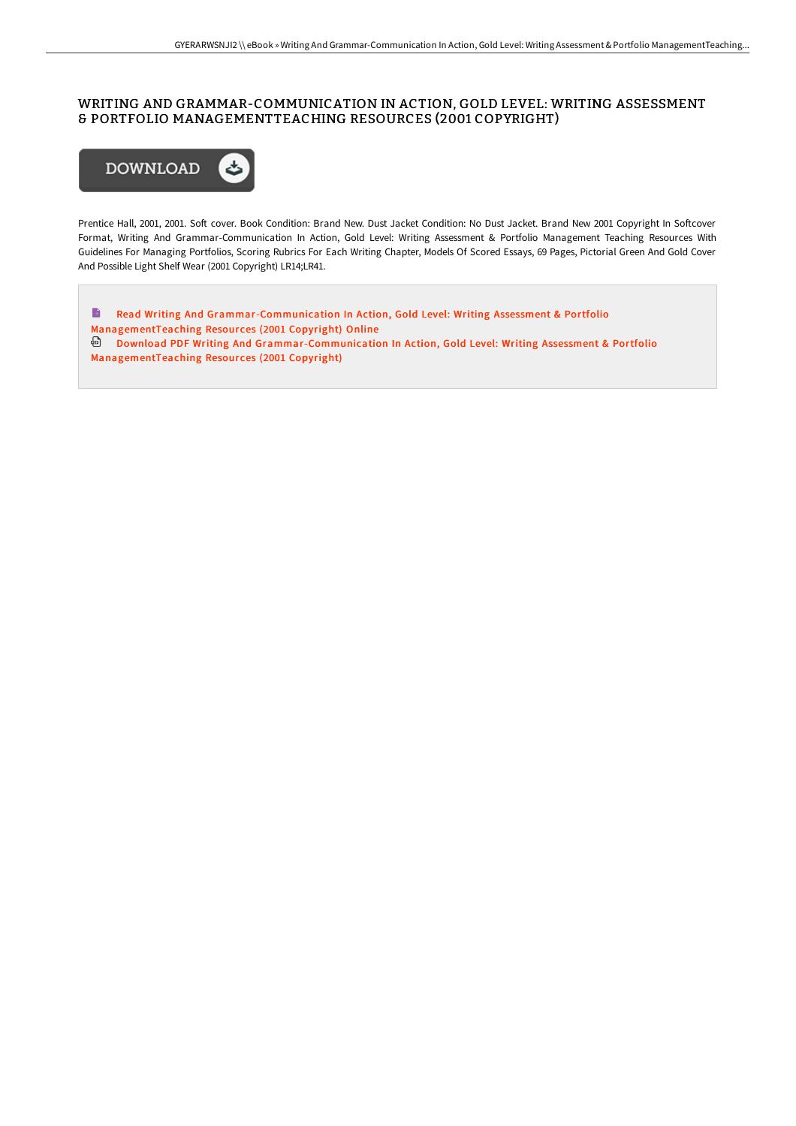### WRITING AND GRAMMAR-COMMUNICATION IN ACTION, GOLD LEVEL: WRITING ASSESSMENT & PORTFOLIO MANAGEMENTTEACHING RESOURCES (2001 COPYRIGHT)



Prentice Hall, 2001, 2001. Soft cover. Book Condition: Brand New. Dust Jacket Condition: No Dust Jacket. Brand New 2001 Copyright In Softcover Format, Writing And Grammar-Communication In Action, Gold Level: Writing Assessment & Portfolio Management Teaching Resources With Guidelines For Managing Portfolios, Scoring Rubrics For Each Writing Chapter, Models Of Scored Essays, 69 Pages, Pictorial Green And Gold Cover And Possible Light Shelf Wear (2001 Copyright) LR14;LR41.

 $\blacksquare$ Read Writing And [Grammar-Communication](http://techno-pub.tech/writing-and-grammar-communication-in-action-gold-3.html) In Action, Gold Level: Writing Assessment & Portfolio ManagementTeaching Resources (2001 Copyright) Online Download PDF Writing And [Grammar-Communication](http://techno-pub.tech/writing-and-grammar-communication-in-action-gold-3.html) In Action, Gold Level: Writing Assessment & Portfolio ManagementTeaching Resources (2001 Copyright)